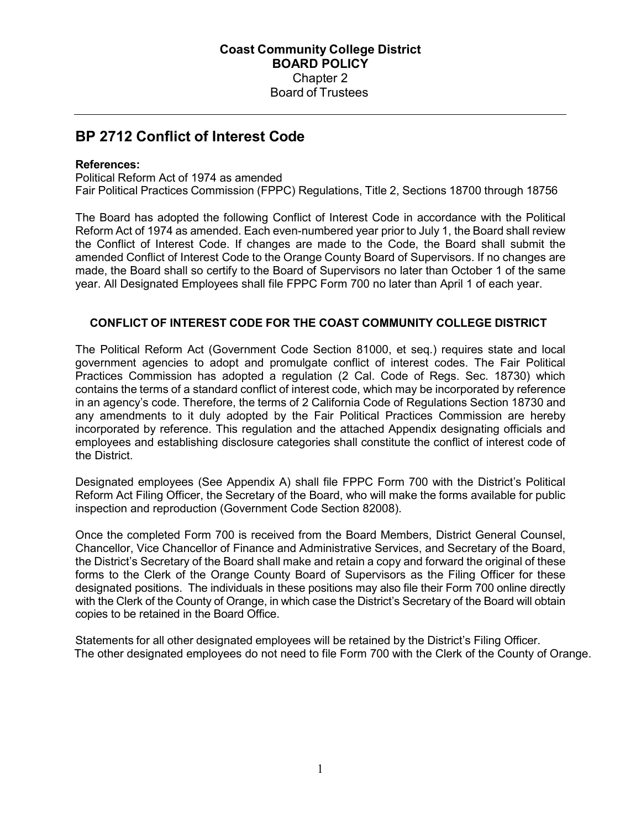# **BP 2712 Conflict of Interest Code**

#### **References:**

Political Reform Act of 1974 as amended Fair Political Practices Commission (FPPC) Regulations, Title 2, Sections 18700 through 18756

The Board has adopted the following Conflict of Interest Code in accordance with the Political Reform Act of 1974 as amended. Each even-numbered year prior to July 1, the Board shall review the Conflict of Interest Code. If changes are made to the Code, the Board shall submit the amended Conflict of Interest Code to the Orange County Board of Supervisors. If no changes are made, the Board shall so certify to the Board of Supervisors no later than October 1 of the same year. All Designated Employees shall file FPPC Form 700 no later than April 1 of each year.

#### **CONFLICT OF INTEREST CODE FOR THE COAST COMMUNITY COLLEGE DISTRICT**

The Political Reform Act (Government Code Section 81000, et seq.) requires state and local government agencies to adopt and promulgate conflict of interest codes. The Fair Political Practices Commission has adopted a regulation (2 Cal. Code of Regs. Sec. 18730) which contains the terms of a standard conflict of interest code, which may be incorporated by reference in an agency's code. Therefore, the terms of 2 California Code of Regulations Section 18730 and any amendments to it duly adopted by the Fair Political Practices Commission are hereby incorporated by reference. This regulation and the attached Appendix designating officials and employees and establishing disclosure categories shall constitute the conflict of interest code of the District.

Designated employees (See Appendix A) shall file FPPC Form 700 with the District's Political Reform Act Filing Officer, the Secretary of the Board, who will make the forms available for public inspection and reproduction (Government Code Section 82008).

Once the completed Form 700 is received from the Board Members, District General Counsel, Chancellor, Vice Chancellor of Finance and Administrative Services, and Secretary of the Board, the District's Secretary of the Board shall make and retain a copy and forward the original of these forms to the Clerk of the Orange County Board of Supervisors as the Filing Officer for these designated positions. The individuals in these positions may also file their Form 700 online directly with the Clerk of the County of Orange, in which case the District's Secretary of the Board will obtain copies to be retained in the Board Office.

Statements for all other designated employees will be retained by the District's Filing Officer. The other designated employees do not need to file Form 700 with the Clerk of the County of Orange.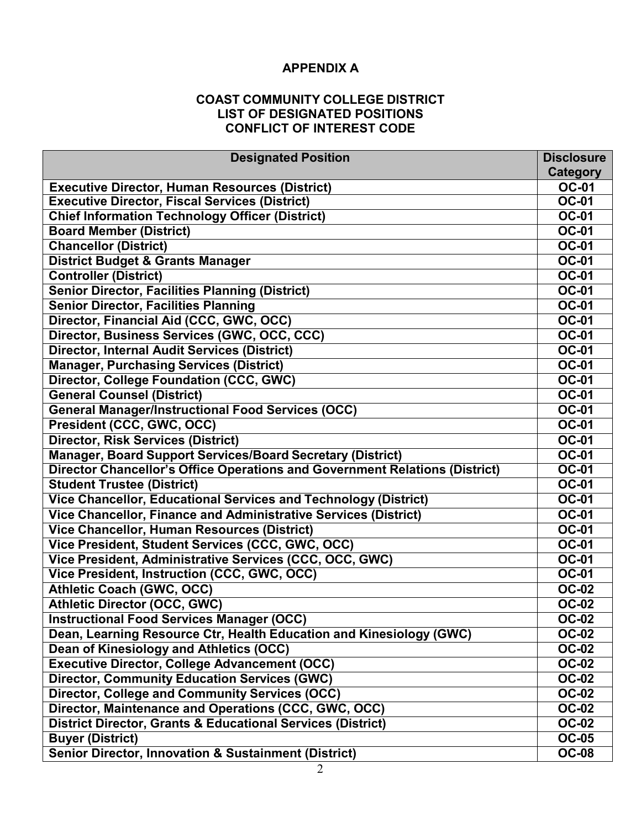# **APPENDIX A**

### **COAST COMMUNITY COLLEGE DISTRICT LIST OF DESIGNATED POSITIONS CONFLICT OF INTEREST CODE**

| <b>Designated Position</b>                                                         | <b>Disclosure</b>            |  |
|------------------------------------------------------------------------------------|------------------------------|--|
|                                                                                    | Category                     |  |
| <b>Executive Director, Human Resources (District)</b>                              |                              |  |
| <b>Executive Director, Fiscal Services (District)</b>                              |                              |  |
| <b>Chief Information Technology Officer (District)</b>                             |                              |  |
| <b>Board Member (District)</b>                                                     |                              |  |
| <b>Chancellor (District)</b>                                                       |                              |  |
| <b>District Budget &amp; Grants Manager</b>                                        |                              |  |
| <b>Controller (District)</b>                                                       |                              |  |
| <b>Senior Director, Facilities Planning (District)</b>                             |                              |  |
| <b>Senior Director, Facilities Planning</b>                                        |                              |  |
| Director, Financial Aid (CCC, GWC, OCC)                                            |                              |  |
| Director, Business Services (GWC, OCC, CCC)                                        |                              |  |
| <b>Director, Internal Audit Services (District)</b>                                |                              |  |
| <b>Manager, Purchasing Services (District)</b>                                     |                              |  |
| <b>Director, College Foundation (CCC, GWC)</b>                                     | <b>OC-01</b>                 |  |
| <b>General Counsel (District)</b>                                                  | <b>OC-01</b>                 |  |
| <b>General Manager/Instructional Food Services (OCC)</b>                           |                              |  |
| President (CCC, GWC, OCC)                                                          |                              |  |
| <b>Director, Risk Services (District)</b>                                          |                              |  |
| <b>Manager, Board Support Services/Board Secretary (District)</b>                  |                              |  |
| <b>Director Chancellor's Office Operations and Government Relations (District)</b> | <b>OC-01</b>                 |  |
| <b>Student Trustee (District)</b>                                                  | <b>OC-01</b>                 |  |
| Vice Chancellor, Educational Services and Technology (District)                    | <b>OC-01</b>                 |  |
| Vice Chancellor, Finance and Administrative Services (District)                    |                              |  |
| <b>Vice Chancellor, Human Resources (District)</b>                                 |                              |  |
| Vice President, Student Services (CCC, GWC, OCC)                                   | <b>OC-01</b>                 |  |
| Vice President, Administrative Services (CCC, OCC, GWC)                            |                              |  |
| Vice President, Instruction (CCC, GWC, OCC)                                        | <b>OC-01</b><br><b>OC-02</b> |  |
| <b>Athletic Coach (GWC, OCC)</b>                                                   |                              |  |
| <b>Athletic Director (OCC, GWC)</b>                                                | <b>OC-02</b>                 |  |
| <b>Instructional Food Services Manager (OCC)</b>                                   | <b>OC-02</b>                 |  |
| Dean, Learning Resource Ctr, Health Education and Kinesiology (GWC)                | <b>OC-02</b>                 |  |
| Dean of Kinesiology and Athletics (OCC)                                            | $OC-02$                      |  |
| <b>Executive Director, College Advancement (OCC)</b>                               | <b>OC-02</b>                 |  |
| <b>Director, Community Education Services (GWC)</b>                                | <b>OC-02</b>                 |  |
| <b>Director, College and Community Services (OCC)</b>                              | $OC-02$                      |  |
| Director, Maintenance and Operations (CCC, GWC, OCC)                               |                              |  |
| <b>District Director, Grants &amp; Educational Services (District)</b>             |                              |  |
| <b>Buyer (District)</b>                                                            |                              |  |
| <b>Senior Director, Innovation &amp; Sustainment (District)</b>                    | <b>OC-08</b>                 |  |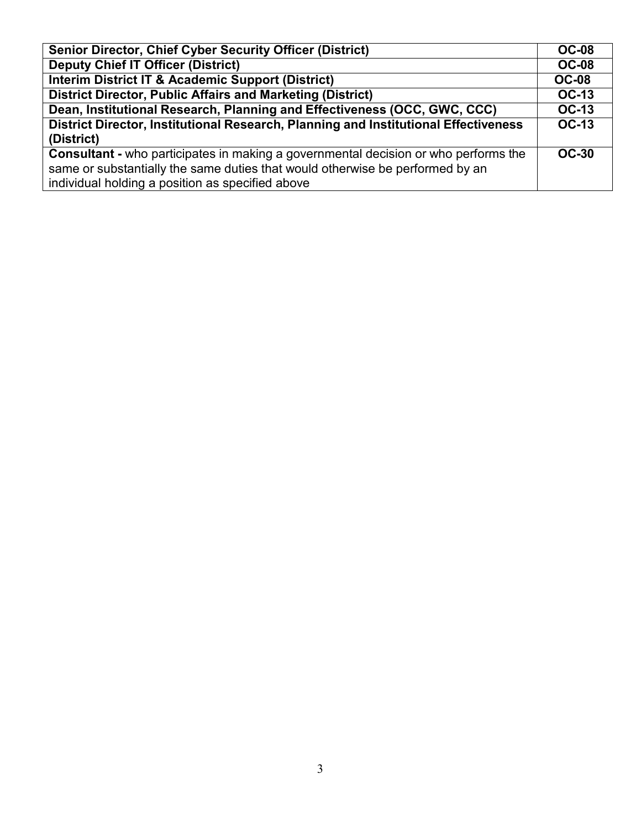| <b>Senior Director, Chief Cyber Security Officer (District)</b>                            | <b>OC-08</b> |
|--------------------------------------------------------------------------------------------|--------------|
| <b>Deputy Chief IT Officer (District)</b>                                                  | <b>OC-08</b> |
| <b>Interim District IT &amp; Academic Support (District)</b>                               | <b>OC-08</b> |
| <b>District Director, Public Affairs and Marketing (District)</b>                          | <b>OC-13</b> |
| Dean, Institutional Research, Planning and Effectiveness (OCC, GWC, CCC)                   | <b>OC-13</b> |
| District Director, Institutional Research, Planning and Institutional Effectiveness        |              |
| (District)                                                                                 |              |
| <b>Consultant - who participates in making a governmental decision or who performs the</b> | <b>OC-30</b> |
| same or substantially the same duties that would otherwise be performed by an              |              |
| individual holding a position as specified above                                           |              |